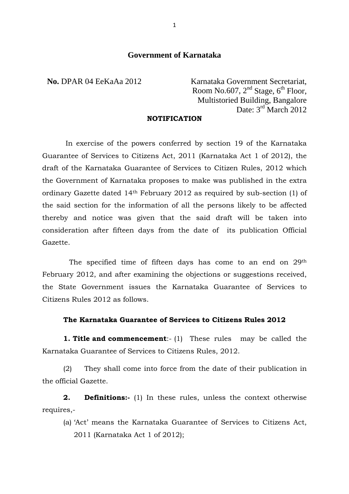# **Government of Karnataka**

**No.** DPAR 04 EeKaAa 2012 Karnataka Government Secretariat, Room No.607,  $2<sup>nd</sup> Stage, 6<sup>th</sup> Floor,$  Multistoried Building, Bangalore Date: 3rd March 2012

#### **NOTIFICATION**

In exercise of the powers conferred by section 19 of the Karnataka Guarantee of Services to Citizens Act, 2011 (Karnataka Act 1 of 2012), the draft of the Karnataka Guarantee of Services to Citizen Rules, 2012 which the Government of Karnataka proposes to make was published in the extra ordinary Gazette dated 14th February 2012 as required by sub-section (1) of the said section for the information of all the persons likely to be affected thereby and notice was given that the said draft will be taken into consideration after fifteen days from the date of its publication Official Gazette.

 The specified time of fifteen days has come to an end on 29th February 2012, and after examining the objections or suggestions received, the State Government issues the Karnataka Guarantee of Services to Citizens Rules 2012 as follows.

#### **The Karnataka Guarantee of Services to Citizens Rules 2012**

**1. Title and commencement**:- (1) These rules may be called the Karnataka Guarantee of Services to Citizens Rules, 2012.

(2) They shall come into force from the date of their publication in the official Gazette.

**2. Definitions:-** (1) In these rules, unless the context otherwise requires,-

(a) 'Act' means the Karnataka Guarantee of Services to Citizens Act, 2011 (Karnataka Act 1 of 2012);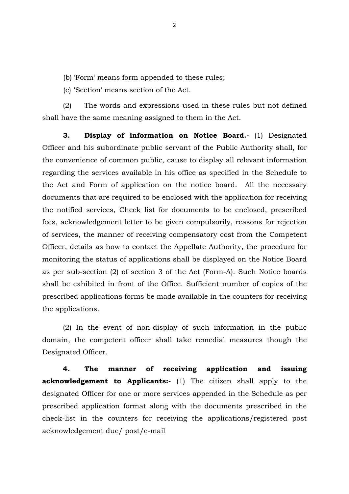(b) 'Form' means form appended to these rules;

(c) 'Section' means section of the Act.

(2) The words and expressions used in these rules but not defined shall have the same meaning assigned to them in the Act.

**3. Display of information on Notice Board.-** (1) Designated Officer and his subordinate public servant of the Public Authority shall, for the convenience of common public, cause to display all relevant information regarding the services available in his office as specified in the Schedule to the Act and Form of application on the notice board. All the necessary documents that are required to be enclosed with the application for receiving the notified services, Check list for documents to be enclosed, prescribed fees, acknowledgement letter to be given compulsorily, reasons for rejection of services, the manner of receiving compensatory cost from the Competent Officer, details as how to contact the Appellate Authority, the procedure for monitoring the status of applications shall be displayed on the Notice Board as per sub-section (2) of section 3 of the Act (Form-A). Such Notice boards shall be exhibited in front of the Office. Sufficient number of copies of the prescribed applications forms be made available in the counters for receiving the applications.

(2) In the event of non-display of such information in the public domain, the competent officer shall take remedial measures though the Designated Officer.

**4. The manner of receiving application and issuing acknowledgement to Applicants:-** (1) The citizen shall apply to the designated Officer for one or more services appended in the Schedule as per prescribed application format along with the documents prescribed in the check-list in the counters for receiving the applications/registered post acknowledgement due/ post/e-mail

2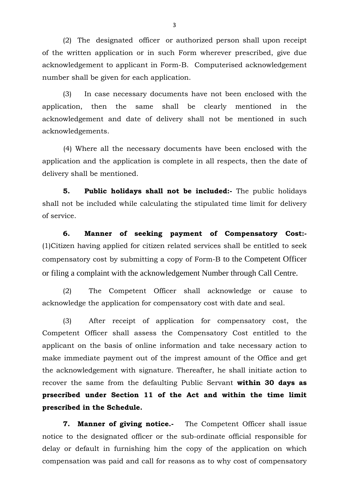(2) The designated officer or authorized person shall upon receipt of the written application or in such Form wherever prescribed, give due acknowledgement to applicant in Form-B. Computerised acknowledgement number shall be given for each application.

(3) In case necessary documents have not been enclosed with the application, then the same shall be clearly mentioned in the acknowledgement and date of delivery shall not be mentioned in such acknowledgements.

(4) Where all the necessary documents have been enclosed with the application and the application is complete in all respects, then the date of delivery shall be mentioned.

**5. Public holidays shall not be included:-** The public holidays shall not be included while calculating the stipulated time limit for delivery of service.

**6. Manner of seeking payment of Compensatory Cost:-** (1)Citizen having applied for citizen related services shall be entitled to seek compensatory cost by submitting a copy of Form-B to the Competent Officer or filing a complaint with the acknowledgement Number through Call Centre.

(2) The Competent Officer shall acknowledge or cause to acknowledge the application for compensatory cost with date and seal.

(3) After receipt of application for compensatory cost, the Competent Officer shall assess the Compensatory Cost entitled to the applicant on the basis of online information and take necessary action to make immediate payment out of the imprest amount of the Office and get the acknowledgement with signature. Thereafter, he shall initiate action to recover the same from the defaulting Public Servant **within 30 days as prsecribed under Section 11 of the Act and within the time limit prescribed in the Schedule.** 

**7. Manner of giving notice.** The Competent Officer shall issue notice to the designated officer or the sub-ordinate official responsible for delay or default in furnishing him the copy of the application on which compensation was paid and call for reasons as to why cost of compensatory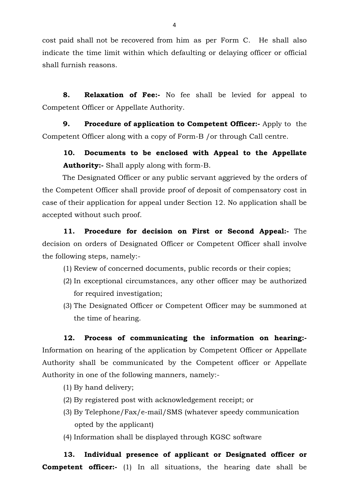cost paid shall not be recovered from him as per Form C. He shall also indicate the time limit within which defaulting or delaying officer or official shall furnish reasons.

**8. Relaxation of Fee:-** No fee shall be levied for appeal to Competent Officer or Appellate Authority.

**9.** Procedure of application to Competent Officer:- Apply to the Competent Officer along with a copy of Form-B /or through Call centre.

**10. Documents to be enclosed with Appeal to the Appellate Authority:-** Shall apply along with form-B.

 The Designated Officer or any public servant aggrieved by the orders of the Competent Officer shall provide proof of deposit of compensatory cost in case of their application for appeal under Section 12. No application shall be accepted without such proof.

**11. Procedure for decision on First or Second Appeal:-** The decision on orders of Designated Officer or Competent Officer shall involve the following steps, namely:-

- (1) Review of concerned documents, public records or their copies;
- (2) In exceptional circumstances, any other officer may be authorized for required investigation;
- (3) The Designated Officer or Competent Officer may be summoned at the time of hearing.

**12. Process of communicating the information on hearing:-**  Information on hearing of the application by Competent Officer or Appellate Authority shall be communicated by the Competent officer or Appellate Authority in one of the following manners, namely:-

- (1) By hand delivery;
- (2) By registered post with acknowledgement receipt; or
- (3) By Telephone/Fax/e-mail/SMS (whatever speedy communication opted by the applicant)
- (4) Information shall be displayed through KGSC software

**13. Individual presence of applicant or Designated officer or Competent officer:-** (1) In all situations, the hearing date shall be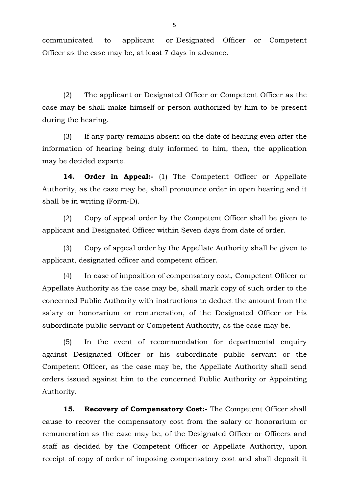communicated to applicant or Designated Officer or Competent Officer as the case may be, at least 7 days in advance.

(2) The applicant or Designated Officer or Competent Officer as the case may be shall make himself or person authorized by him to be present during the hearing.

(3) If any party remains absent on the date of hearing even after the information of hearing being duly informed to him, then, the application may be decided exparte.

**14. Order in Appeal:-** (1) The Competent Officer or Appellate Authority, as the case may be, shall pronounce order in open hearing and it shall be in writing (Form-D).

(2) Copy of appeal order by the Competent Officer shall be given to applicant and Designated Officer within Seven days from date of order.

(3) Copy of appeal order by the Appellate Authority shall be given to applicant, designated officer and competent officer.

(4) In case of imposition of compensatory cost, Competent Officer or Appellate Authority as the case may be, shall mark copy of such order to the concerned Public Authority with instructions to deduct the amount from the salary or honorarium or remuneration, of the Designated Officer or his subordinate public servant or Competent Authority, as the case may be.

(5) In the event of recommendation for departmental enquiry against Designated Officer or his subordinate public servant or the Competent Officer, as the case may be, the Appellate Authority shall send orders issued against him to the concerned Public Authority or Appointing Authority.

15. Recovery of Compensatory Cost:- The Competent Officer shall cause to recover the compensatory cost from the salary or honorarium or remuneration as the case may be, of the Designated Officer or Officers and staff as decided by the Competent Officer or Appellate Authority, upon receipt of copy of order of imposing compensatory cost and shall deposit it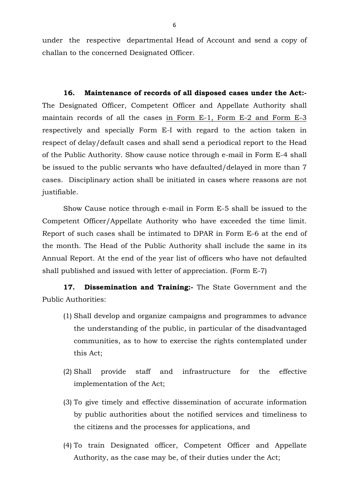under the respective departmental Head of Account and send a copy of challan to the concerned Designated Officer.

**16. Maintenance of records of all disposed cases under the Act:-** The Designated Officer, Competent Officer and Appellate Authority shall maintain records of all the cases in Form E-1, Form E-2 and Form E-3 respectively and specially Form E-I with regard to the action taken in respect of delay/default cases and shall send a periodical report to the Head of the Public Authority. Show cause notice through e-mail in Form E-4 shall be issued to the public servants who have defaulted/delayed in more than 7 cases. Disciplinary action shall be initiated in cases where reasons are not justifiable.

Show Cause notice through e-mail in Form E-5 shall be issued to the Competent Officer/Appellate Authority who have exceeded the time limit. Report of such cases shall be intimated to DPAR in Form E-6 at the end of the month. The Head of the Public Authority shall include the same in its Annual Report. At the end of the year list of officers who have not defaulted shall published and issued with letter of appreciation. (Form E-7)

**17. Dissemination and Training:-** The State Government and the Public Authorities:

- (1) Shall develop and organize campaigns and programmes to advance the understanding of the public, in particular of the disadvantaged communities, as to how to exercise the rights contemplated under this Act;
- (2) Shall provide staff and infrastructure for the effective implementation of the Act;
- (3) To give timely and effective dissemination of accurate information by public authorities about the notified services and timeliness to the citizens and the processes for applications, and
- (4) To train Designated officer, Competent Officer and Appellate Authority, as the case may be, of their duties under the Act;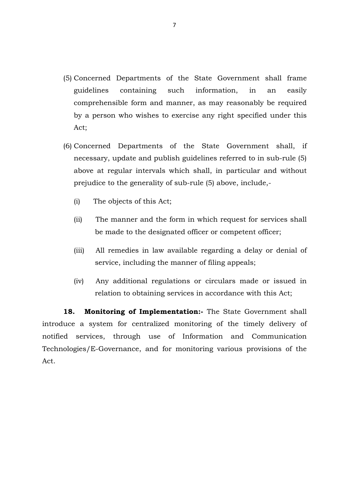- (5) Concerned Departments of the State Government shall frame guidelines containing such information, in an easily comprehensible form and manner, as may reasonably be required by a person who wishes to exercise any right specified under this Act;
- (6) Concerned Departments of the State Government shall, if necessary, update and publish guidelines referred to in sub-rule (5) above at regular intervals which shall, in particular and without prejudice to the generality of sub-rule (5) above, include,-
	- (i) The objects of this Act;
	- (ii) The manner and the form in which request for services shall be made to the designated officer or competent officer;
	- (iii) All remedies in law available regarding a delay or denial of service, including the manner of filing appeals;
	- (iv) Any additional regulations or circulars made or issued in relation to obtaining services in accordance with this Act;

18. Monitoring of Implementation:- The State Government shall introduce a system for centralized monitoring of the timely delivery of notified services, through use of Information and Communication Technologies/E-Governance, and for monitoring various provisions of the Act.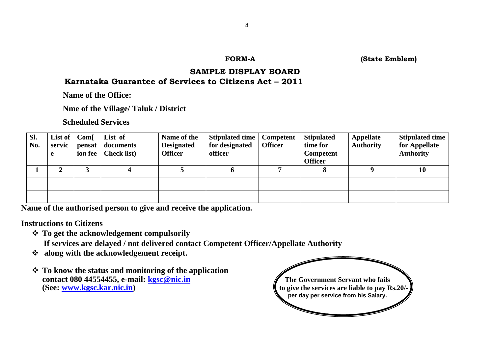**FORM-A (State Emblem)** 

## **SAMPLE DISPLAY BOARD Karnataka Guarantee of Services to Citizens Act – 2011**

 **Name of the Office:** 

 **Nme of the Village/ Taluk / District** 

 **Scheduled Services** 

| SI.<br>No. | List of $ $<br>servic<br>e | Com <sub>[</sub> ]<br>pensat | List of<br>documents<br>ion fee $\vert$ Check list) | Name of the<br><b>Designated</b><br><b>Officer</b> | Stipulated time<br>for designated<br>officer | Competent<br><b>Officer</b> | <b>Stipulated</b><br>time for<br>Competent<br><b>Officer</b> | <b>Appellate</b><br><b>Authority</b> | <b>Stipulated time</b><br>for Appellate<br><b>Authority</b> |
|------------|----------------------------|------------------------------|-----------------------------------------------------|----------------------------------------------------|----------------------------------------------|-----------------------------|--------------------------------------------------------------|--------------------------------------|-------------------------------------------------------------|
|            | 2                          |                              | 4                                                   |                                                    | o                                            |                             |                                                              |                                      | 10                                                          |
|            |                            |                              |                                                     |                                                    |                                              |                             |                                                              |                                      |                                                             |
|            |                            |                              |                                                     |                                                    |                                              |                             |                                                              |                                      |                                                             |

**Name of the authorised person to give and receive the application.** 

**Instructions to Citizens** 

- **To get the acknowledgement compulsorily** 
	- **If services are delayed / not delivered contact Competent Officer/Appellate Authority**
- **along with the acknowledgement receipt.**
- **To know the status and monitoring of the application contact 080 44554455, e-mail:** *[kgsc@nic.in](mailto:kgsc@nic.in)* **The Government Servant who fails <b>The Government Servant who fails (See: www.kgsc.kar.nic.in)** to give the services are liable to pay Rs.20/-

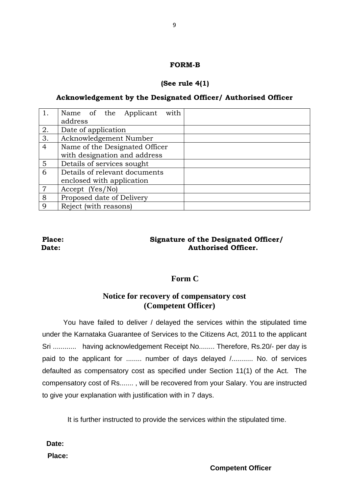#### **FORM-B**

# **(See rule 4(1)**

# **Acknowledgement by the Designated Officer/ Authorised Officer**

|                | with<br>Name of the Applicant  |  |
|----------------|--------------------------------|--|
|                | address                        |  |
| 2.             | Date of application            |  |
| 3.             | Acknowledgement Number         |  |
| 4              | Name of the Designated Officer |  |
|                | with designation and address   |  |
| 5              | Details of services sought     |  |
| 6              | Details of relevant documents  |  |
|                | enclosed with application      |  |
| $\overline{7}$ | Accept (Yes/No)                |  |
| 8              | Proposed date of Delivery      |  |
| 9              | Reject (with reasons)          |  |

# **Place: Signature of the Designated Officer/ Date:** *Authorised Officer.*

# **Form C**

# **Notice for recovery of compensatory cost (Competent Officer)**

You have failed to deliver / delayed the services within the stipulated time under the Karnataka Guarantee of Services to the Citizens Act, 2011 to the applicant Sri ............ having acknowledgement Receipt No........ Therefore, Rs.20/- per day is paid to the applicant for ........ number of days delayed /........... No. of services defaulted as compensatory cost as specified under Section 11(1) of the Act. The compensatory cost of Rs....... , will be recovered from your Salary. You are instructed to give your explanation with justification with in 7 days.

It is further instructed to provide the services within the stipulated time.

**Date:** 

**Place:**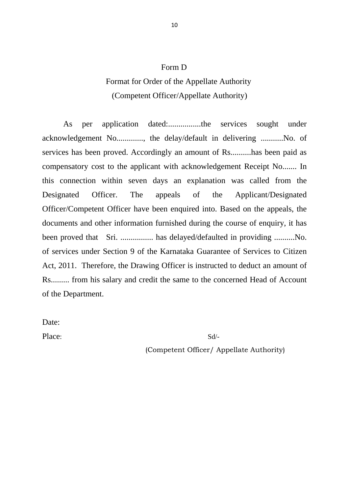# Form D

# Format for Order of the Appellate Authority (Competent Officer/Appellate Authority)

As per application dated:................the services sought under acknowledgement No............., the delay/default in delivering ...........No. of services has been proved. Accordingly an amount of Rs..........has been paid as compensatory cost to the applicant with acknowledgement Receipt No....... In this connection within seven days an explanation was called from the Designated Officer. The appeals of the Applicant/Designated Officer/Competent Officer have been enquired into. Based on the appeals, the documents and other information furnished during the course of enquiry, it has been proved that Sri. ................ has delayed/defaulted in providing ..........No. of services under Section 9 of the Karnataka Guarantee of Services to Citizen Act, 2011. Therefore, the Drawing Officer is instructed to deduct an amount of Rs......... from his salary and credit the same to the concerned Head of Account of the Department.

Date:

Place: Sd/-

(Competent Officer/ Appellate Authority)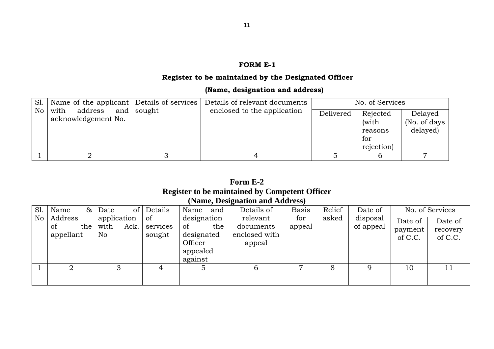#### **FORM E-1**

# **Register to be maintained by the Designated Officer**

# **(Name, designation and address)**

| Sl.   Name of the applicant   Details of services             |  | Details of relevant documents | No. of Services |            |                      |  |
|---------------------------------------------------------------|--|-------------------------------|-----------------|------------|----------------------|--|
| $\overline{N}$ with address and sought<br>acknowledgement No. |  | enclosed to the application   | Delivered       | Rejected   | Delayed              |  |
|                                                               |  |                               |                 | (with      | (No. of days $\vert$ |  |
|                                                               |  |                               |                 | reasons    | delayed)             |  |
|                                                               |  |                               |                 | for        |                      |  |
|                                                               |  |                               |                 | rejection) |                      |  |
|                                                               |  |                               |                 |            |                      |  |

# **Form E-2 Register to be maintained by Competent Officer (Name, Designation and Address)**

| S1. | Name<br>&                         | Date                              | of Details               | Name<br>and                            | Details of                             | <b>Basis</b>   | Relief | Date of               |                               | No. of Services                |
|-----|-----------------------------------|-----------------------------------|--------------------------|----------------------------------------|----------------------------------------|----------------|--------|-----------------------|-------------------------------|--------------------------------|
| No  | Address<br>the<br>of<br>appellant | application<br>with<br>Ack.<br>No | 0f<br>services<br>sought | designation<br>the<br>of<br>designated | relevant<br>documents<br>enclosed with | for<br>appeal  | asked  | disposal<br>of appeal | Date of<br>payment<br>of C.C. | Date of<br>recovery<br>of C.C. |
|     |                                   |                                   |                          | Officer<br>appealed<br>against         | appeal                                 |                |        |                       |                               |                                |
|     | 2                                 | 3                                 | 4                        |                                        | O                                      | $\overline{ }$ | 8      |                       | 10                            |                                |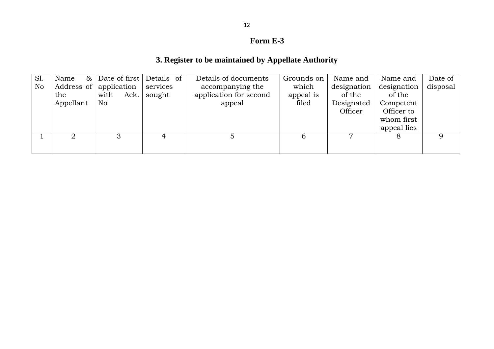# **Form E-3**

# **3. Register to be maintained by Appellate Authority**

| designation<br>disposal |
|-------------------------|
| of the                  |
| Competent               |
| Officer to              |
| whom first              |
| appeal lies             |
|                         |
|                         |
|                         |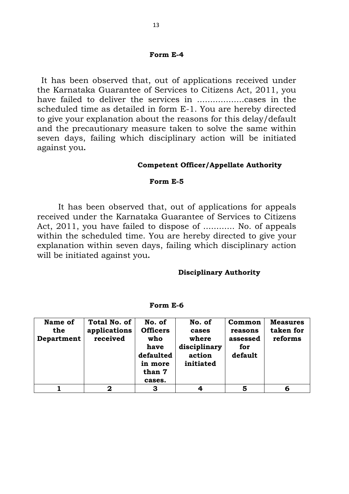#### **Form E-4**

It has been observed that, out of applications received under the Karnataka Guarantee of Services to Citizens Act, 2011, you have failed to deliver the services in ..................cases in the scheduled time as detailed in form E-1. You are hereby directed to give your explanation about the reasons for this delay/default and the precautionary measure taken to solve the same within seven days, failing which disciplinary action will be initiated against you**.** 

#### **Competent Officer/Appellate Authority**

#### **Form E-5**

It has been observed that, out of applications for appeals received under the Karnataka Guarantee of Services to Citizens Act, 2011, you have failed to dispose of ............ No. of appeals within the scheduled time. You are hereby directed to give your explanation within seven days, failing which disciplinary action will be initiated against you**.** 

#### **Disciplinary Authority**

| Name of<br>the<br>Department | Total No. of<br>applications<br>received | No. of<br><b>Officers</b><br>who<br>have<br>defaulted<br>in more<br>than 7<br>cases. | No. of<br>cases<br>where<br>disciplinary<br>action<br>initiated | Common<br>reasons<br>assessed<br>for<br>default | <b>Measures</b><br>taken for<br>reforms |
|------------------------------|------------------------------------------|--------------------------------------------------------------------------------------|-----------------------------------------------------------------|-------------------------------------------------|-----------------------------------------|
|                              | 2                                        | З                                                                                    | Δ                                                               | 5                                               | 6                                       |

#### **Form E-6**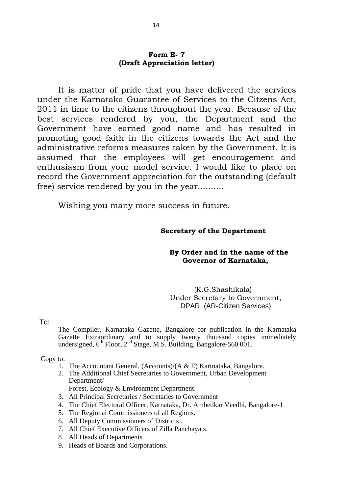## **Form E- 7 (Draft Appreciation letter)**

 It is matter of pride that you have delivered the services under the Karnataka Guarantee of Services to the Citzens Act, 2011 in time to the citizens throughout the year. Because of the best services rendered by you, the Department and the Government have earned good name and has resulted in promoting good faith in the citizens towards the Act and the administrative reforms measures taken by the Government. It is assumed that the employees will get encouragement and enthusiasm from your model service. I would like to place on record the Government appreciation for the outstanding (default free) service rendered by you in the year..........

Wishing you many more success in future.

#### **Secretary of the Department**

## **By Order and in the name of the Governor of Karnataka,**

(K.G.Shashikala) Under Secretary to Government, DPAR (AR-Citizen Services)

To:

The Compiler, Karnataka Gazette, Bangalore for publication in the Karnataka Gazette Extraordinary and to supply twenty thousand copies immediately undersigned,  $6<sup>th</sup>$  Floor,  $2<sup>nd</sup>$  Stage, M.S. Building, Bangalore-560 001.

Copy to:

- 1. The Accountant General, (Accounts)/(A & E) Kartnataka, Bangalore.
- 2. The Additional Chief Secretaries to Government, Urban Development Department/

Forest, Ecology & Environment Department.

- 3. All Principal Secretaries / Secretaries to Government
- 4. The Chief Electoral Officer, Karnataka, Dr. Ambedkar Veedhi, Bangalore-1
- 5. The Regional Commissioners of all Regions.
- 6. All Deputy Commissioners of Districts .
- 7. All Chief Executive Officers of Zilla Panchayats.
- 8. All Heads of Departments.
- 9. Heads of Boards and Corporations.